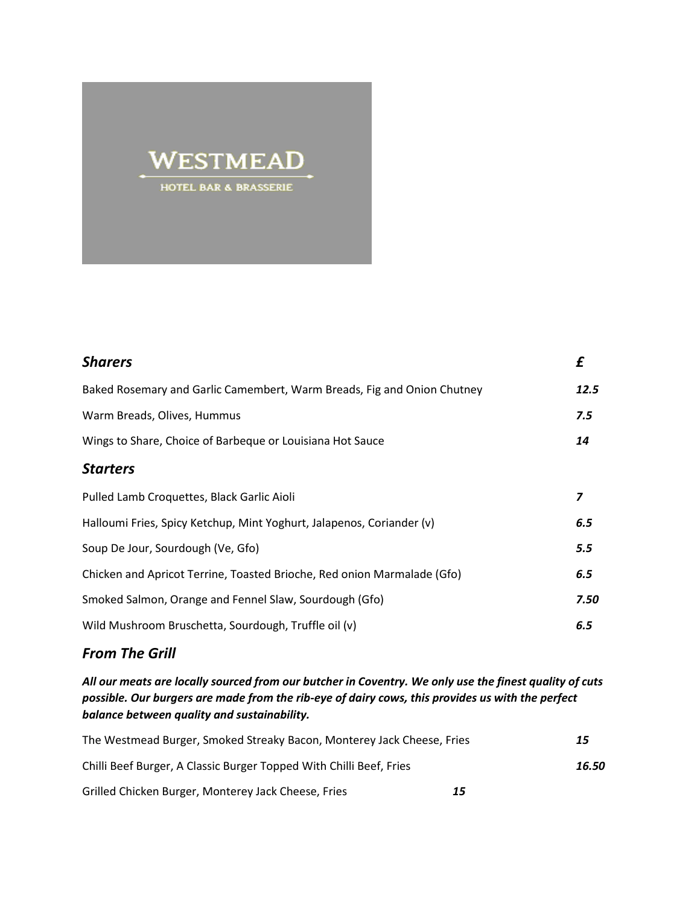## WESTMEAD HOTEL BAR & BRASSERIE

| <b>Sharers</b>                                                          | £    |
|-------------------------------------------------------------------------|------|
| Baked Rosemary and Garlic Camembert, Warm Breads, Fig and Onion Chutney | 12.5 |
| Warm Breads, Olives, Hummus                                             | 7.5  |
| Wings to Share, Choice of Barbeque or Louisiana Hot Sauce               | 14   |
| <b>Starters</b>                                                         |      |
| Pulled Lamb Croquettes, Black Garlic Aioli                              | 7    |
| Halloumi Fries, Spicy Ketchup, Mint Yoghurt, Jalapenos, Coriander (v)   | 6.5  |
| Soup De Jour, Sourdough (Ve, Gfo)                                       | 5.5  |
| Chicken and Apricot Terrine, Toasted Brioche, Red onion Marmalade (Gfo) | 6.5  |
| Smoked Salmon, Orange and Fennel Slaw, Sourdough (Gfo)                  | 7.50 |
| Wild Mushroom Bruschetta, Sourdough, Truffle oil (v)                    | 6.5  |
|                                                                         |      |

## *From The Grill*

*All our meats are locally sourced from our butcher in Coventry. We only use the finest quality of cuts possible. Our burgers are made from the rib-eye of dairy cows, this provides us with the perfect balance between quality and sustainability.*

| The Westmead Burger, Smoked Streaky Bacon, Monterey Jack Cheese, Fries | 15    |
|------------------------------------------------------------------------|-------|
| Chilli Beef Burger, A Classic Burger Topped With Chilli Beef, Fries    | 16.50 |
| Grilled Chicken Burger, Monterey Jack Cheese, Fries                    | 15    |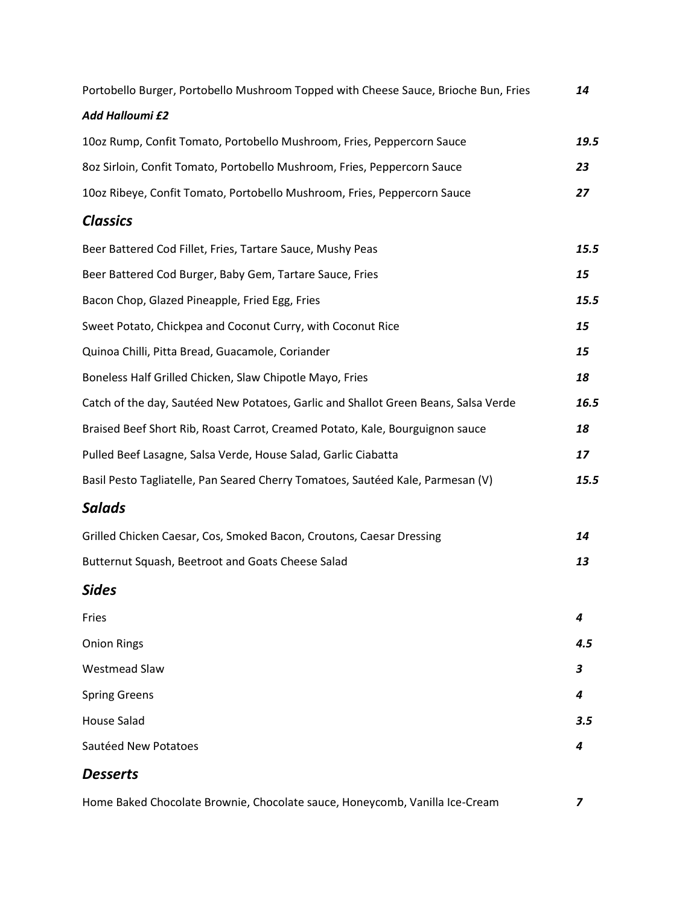| Portobello Burger, Portobello Mushroom Topped with Cheese Sauce, Brioche Bun, Fries | 14   |
|-------------------------------------------------------------------------------------|------|
| <b>Add Halloumi £2</b>                                                              |      |
| 10oz Rump, Confit Tomato, Portobello Mushroom, Fries, Peppercorn Sauce              | 19.5 |
| 8oz Sirloin, Confit Tomato, Portobello Mushroom, Fries, Peppercorn Sauce            | 23   |
| 10oz Ribeye, Confit Tomato, Portobello Mushroom, Fries, Peppercorn Sauce            | 27   |
| <b>Classics</b>                                                                     |      |
| Beer Battered Cod Fillet, Fries, Tartare Sauce, Mushy Peas                          | 15.5 |
| Beer Battered Cod Burger, Baby Gem, Tartare Sauce, Fries                            | 15   |
| Bacon Chop, Glazed Pineapple, Fried Egg, Fries                                      | 15.5 |
| Sweet Potato, Chickpea and Coconut Curry, with Coconut Rice                         | 15   |
| Quinoa Chilli, Pitta Bread, Guacamole, Coriander                                    | 15   |
| Boneless Half Grilled Chicken, Slaw Chipotle Mayo, Fries                            | 18   |
| Catch of the day, Sautéed New Potatoes, Garlic and Shallot Green Beans, Salsa Verde | 16.5 |
| Braised Beef Short Rib, Roast Carrot, Creamed Potato, Kale, Bourguignon sauce       | 18   |
| Pulled Beef Lasagne, Salsa Verde, House Salad, Garlic Ciabatta                      | 17   |
| Basil Pesto Tagliatelle, Pan Seared Cherry Tomatoes, Sautéed Kale, Parmesan (V)     | 15.5 |
| <b>Salads</b>                                                                       |      |
| Grilled Chicken Caesar, Cos, Smoked Bacon, Croutons, Caesar Dressing                | 14   |
| Butternut Squash, Beetroot and Goats Cheese Salad                                   | 13   |
| Sides                                                                               |      |
| Fries                                                                               | 4    |
| <b>Onion Rings</b>                                                                  | 4.5  |
| <b>Westmead Slaw</b>                                                                | 3    |
| <b>Spring Greens</b>                                                                | 4    |
| <b>House Salad</b>                                                                  | 3.5  |
| Sautéed New Potatoes                                                                | 4    |
| <b>Desserts</b>                                                                     |      |
| Home Baked Chocolate Brownie, Chocolate sauce, Honeycomb, Vanilla Ice-Cream         | 7    |